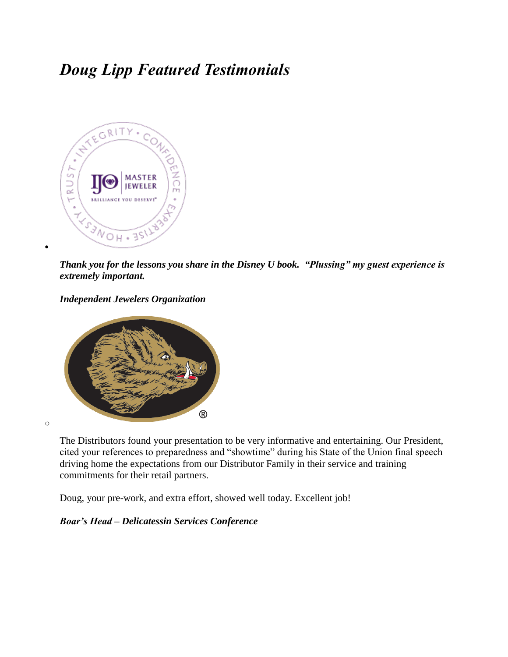# *Doug Lipp Featured Testimonials*



*Thank you for the lessons you share in the Disney U book. "Plussing" my guest experience is extremely important.*

*Independent Jewelers Organization*



o

 $\bullet$ 

The Distributors found your presentation to be very informative and entertaining. Our President, cited your references to preparedness and "showtime" during his State of the Union final speech driving home the expectations from our Distributor Family in their service and training commitments for their retail partners.

Doug, your pre-work, and extra effort, showed well today. Excellent job!

# *Boar's Head – Delicatessin Services Conference*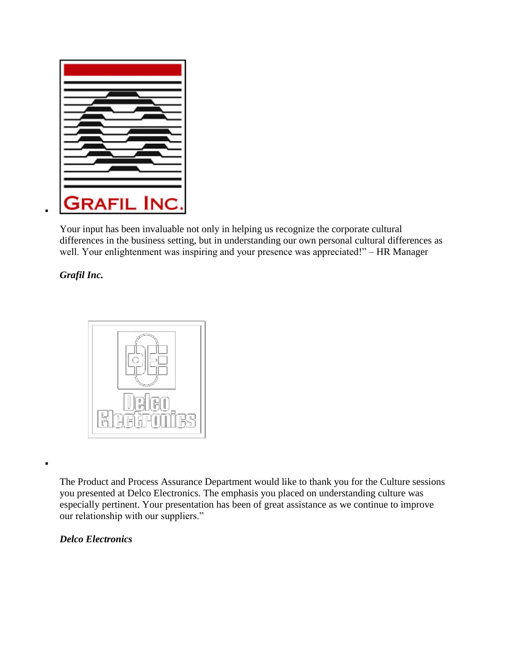

Your input has been invaluable not only in helping us recognize the corporate cultural differences in the business setting, but in understanding our own personal cultural differences as well. Your enlightenment was inspiring and your presence was appreciated!" – HR Manager

*Grafil Inc.*

.

п



The Product and Process Assurance Department would like to thank you for the Culture sessions you presented at Delco Electronics. The emphasis you placed on understanding culture was especially pertinent. Your presentation has been of great assistance as we continue to improve our relationship with our suppliers."

*Delco Electronics*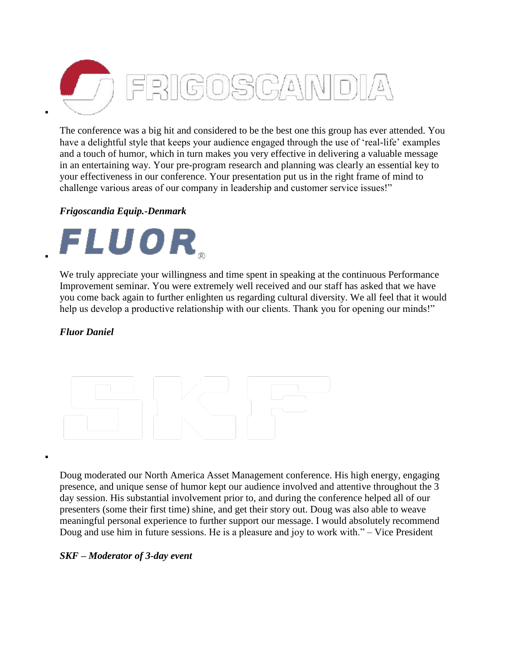

The conference was a big hit and considered to be the best one this group has ever attended. You have a delightful style that keeps your audience engaged through the use of 'real-life' examples and a touch of humor, which in turn makes you very effective in delivering a valuable message in an entertaining way. Your pre-program research and planning was clearly an essential key to your effectiveness in our conference. Your presentation put us in the right frame of mind to challenge various areas of our company in leadership and customer service issues!"

# *Frigoscandia Equip.-Denmark*



We truly appreciate your willingness and time spent in speaking at the continuous Performance Improvement seminar. You were extremely well received and our staff has asked that we have you come back again to further enlighten us regarding cultural diversity. We all feel that it would help us develop a productive relationship with our clients. Thank you for opening our minds!"

#### *Fluor Daniel*

.

:



Doug moderated our North America Asset Management conference. His high energy, engaging presence, and unique sense of humor kept our audience involved and attentive throughout the 3 day session. His substantial involvement prior to, and during the conference helped all of our presenters (some their first time) shine, and get their story out. Doug was also able to weave meaningful personal experience to further support our message. I would absolutely recommend Doug and use him in future sessions. He is a pleasure and joy to work with." – Vice President

#### *SKF – Moderator of 3-day event*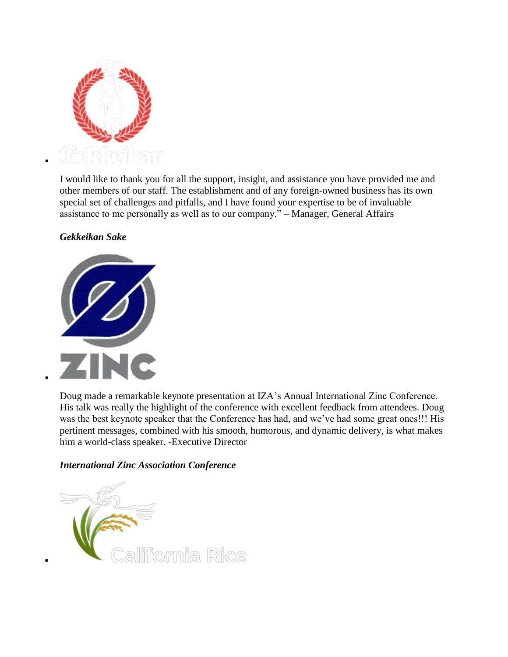

I would like to thank you for all the support, insight, and assistance you have provided me and other members of our staff. The establishment and of any foreign-owned business has its own special set of challenges and pitfalls, and I have found your expertise to be of invaluable assistance to me personally as well as to our company." – Manager, General Affairs

# *Gekkeikan Sake*

.

:

 $\bullet$ 



Doug made a remarkable keynote presentation at IZA's Annual International Zinc Conference. His talk was really the highlight of the conference with excellent feedback from attendees. Doug was the best keynote speaker that the Conference has had, and we've had some great ones!!! His pertinent messages, combined with his smooth, humorous, and dynamic delivery, is what makes him a world-class speaker. -Executive Director

# *International Zinc Association Conference*

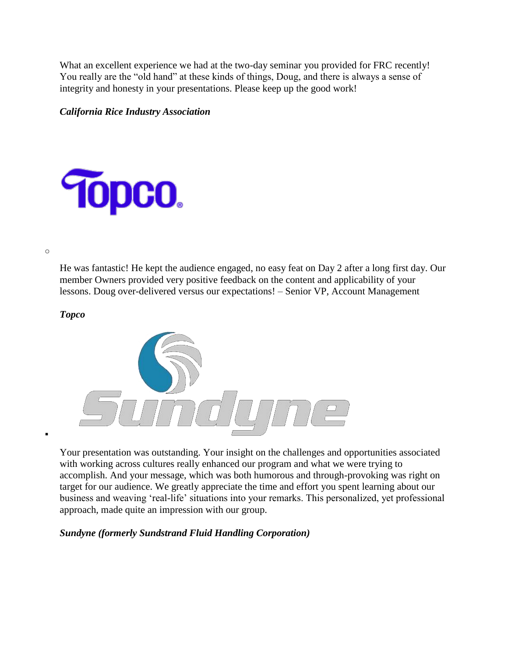What an excellent experience we had at the two-day seminar you provided for FRC recently! You really are the "old hand" at these kinds of things, Doug, and there is always a sense of integrity and honesty in your presentations. Please keep up the good work!

*California Rice Industry Association*



o

 $\blacksquare$ 

He was fantastic! He kept the audience engaged, no easy feat on Day 2 after a long first day. Our member Owners provided very positive feedback on the content and applicability of your lessons. Doug over-delivered versus our expectations! – Senior VP, Account Management

*Topco*



Your presentation was outstanding. Your insight on the challenges and opportunities associated with working across cultures really enhanced our program and what we were trying to accomplish. And your message, which was both humorous and through-provoking was right on target for our audience. We greatly appreciate the time and effort you spent learning about our business and weaving 'real-life' situations into your remarks. This personalized, yet professional approach, made quite an impression with our group.

# *Sundyne (formerly Sundstrand Fluid Handling Corporation)*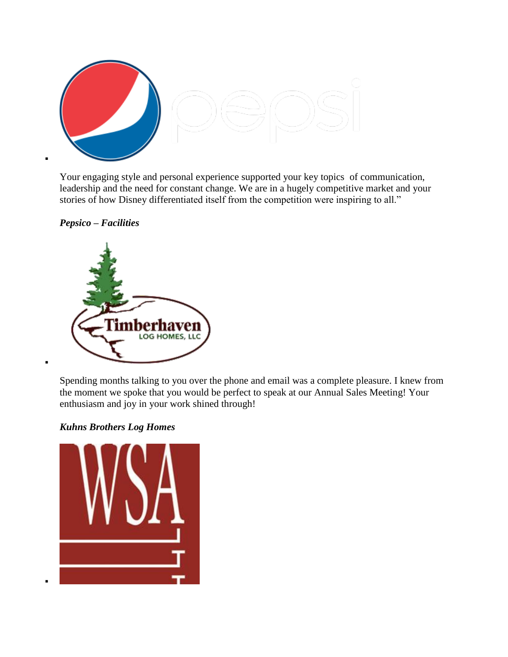

Your engaging style and personal experience supported your key topics of communication, leadership and the need for constant change. We are in a hugely competitive market and your stories of how Disney differentiated itself from the competition were inspiring to all."



.

:

:



Spending months talking to you over the phone and email was a complete pleasure. I knew from the moment we spoke that you would be perfect to speak at our Annual Sales Meeting! Your enthusiasm and joy in your work shined through!

# *Kuhns Brothers Log Homes*

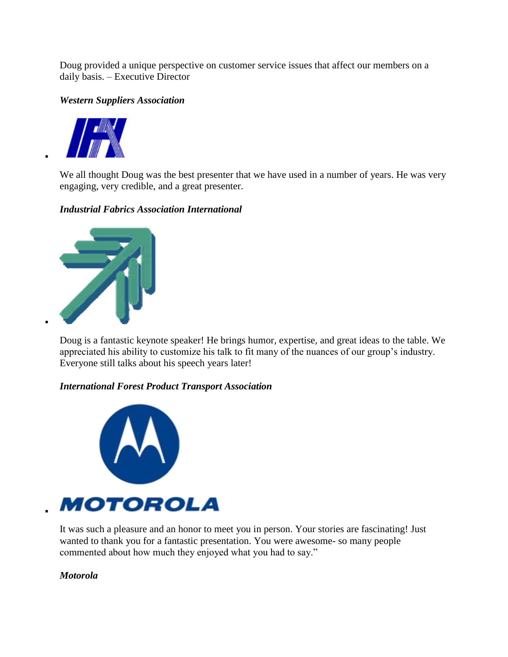Doug provided a unique perspective on customer service issues that affect our members on a daily basis. – Executive Director

#### *Western Suppliers Association*



.

:

.

We all thought Doug was the best presenter that we have used in a number of years. He was very engaging, very credible, and a great presenter.

# *Industrial Fabrics Association International*



Doug is a fantastic keynote speaker! He brings humor, expertise, and great ideas to the table. We appreciated his ability to customize his talk to fit many of the nuances of our group's industry. Everyone still talks about his speech years later!

#### *International Forest Product Transport Association*



It was such a pleasure and an honor to meet you in person. Your stories are fascinating! Just wanted to thank you for a fantastic presentation. You were awesome- so many people commented about how much they enjoyed what you had to say."

#### *Motorola*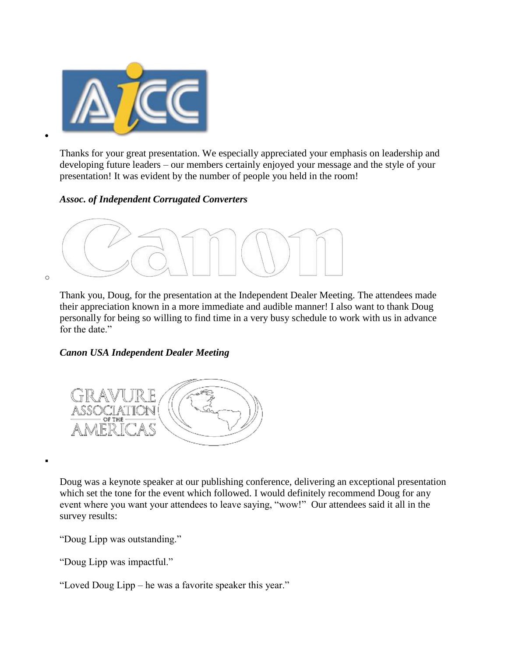

Thanks for your great presentation. We especially appreciated your emphasis on leadership and developing future leaders – our members certainly enjoyed your message and the style of your presentation! It was evident by the number of people you held in the room!

# *Assoc. of Independent Corrugated Converters*



o

:

 $\bullet$ 

Thank you, Doug, for the presentation at the Independent Dealer Meeting. The attendees made their appreciation known in a more immediate and audible manner! I also want to thank Doug personally for being so willing to find time in a very busy schedule to work with us in advance for the date."

# *Canon USA Independent Dealer Meeting*



Doug was a keynote speaker at our publishing conference, delivering an exceptional presentation which set the tone for the event which followed. I would definitely recommend Doug for any event where you want your attendees to leave saying, "wow!" Our attendees said it all in the survey results:

"Doug Lipp was outstanding."

"Doug Lipp was impactful."

"Loved Doug Lipp – he was a favorite speaker this year."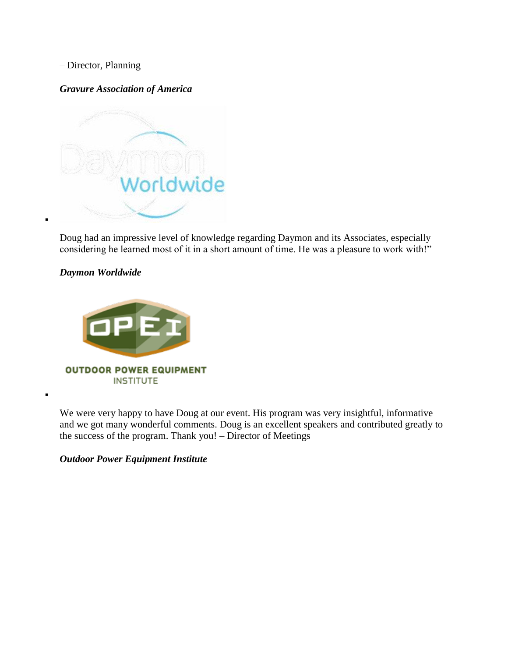#### – Director, Planning

# *Gravure Association of America*



Doug had an impressive level of knowledge regarding Daymon and its Associates, especially considering he learned most of it in a short amount of time. He was a pleasure to work with!"

#### *Daymon Worldwide*

:

 $\blacksquare$ 



We were very happy to have Doug at our event. His program was very insightful, informative and we got many wonderful comments. Doug is an excellent speakers and contributed greatly to the success of the program. Thank you! – Director of Meetings

*Outdoor Power Equipment Institute*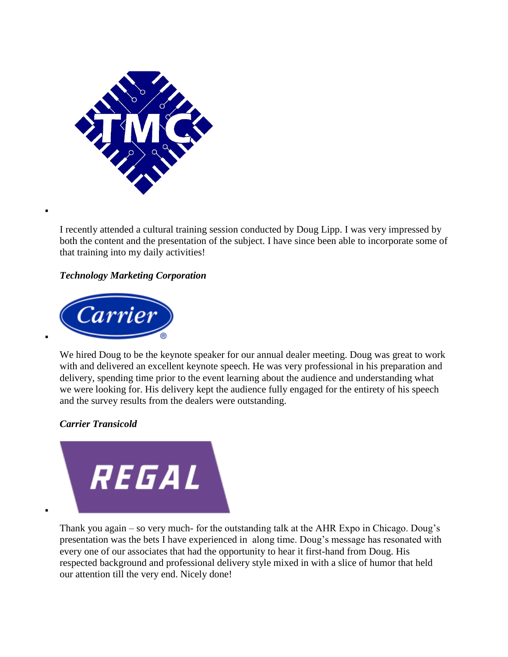

I recently attended a cultural training session conducted by Doug Lipp. I was very impressed by both the content and the presentation of the subject. I have since been able to incorporate some of that training into my daily activities!

# *Technology Marketing Corporation*



:

:

:

We hired Doug to be the keynote speaker for our annual dealer meeting. Doug was great to work with and delivered an excellent keynote speech. He was very professional in his preparation and delivery, spending time prior to the event learning about the audience and understanding what we were looking for. His delivery kept the audience fully engaged for the entirety of his speech and the survey results from the dealers were outstanding.

#### *Carrier Transicold*



Thank you again – so very much- for the outstanding talk at the AHR Expo in Chicago. Doug's presentation was the bets I have experienced in along time. Doug's message has resonated with every one of our associates that had the opportunity to hear it first-hand from Doug. His respected background and professional delivery style mixed in with a slice of humor that held our attention till the very end. Nicely done!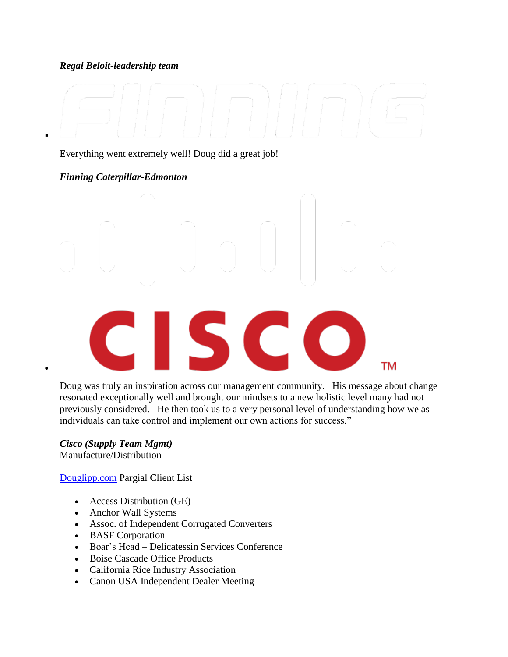#### *Regal Beloit-leadership team*



Everything went extremely well! Doug did a great job!

*Finning Caterpillar-Edmonton*

.

 $\bullet$ 

# CISCO ТM

Doug was truly an inspiration across our management community. His message about change resonated exceptionally well and brought our mindsets to a new holistic level many had not previously considered. He then took us to a very personal level of understanding how we as individuals can take control and implement our own actions for success."

*Cisco (Supply Team Mgmt)* Manufacture/Distribution

[Douglipp.com](http://douglipp.com/) Pargial Client List

- Access Distribution (GE)
- Anchor Wall Systems
- Assoc. of Independent Corrugated Converters
- BASF Corporation
- Boar's Head Delicatessin Services Conference
- Boise Cascade Office Products
- California Rice Industry Association
- Canon USA Independent Dealer Meeting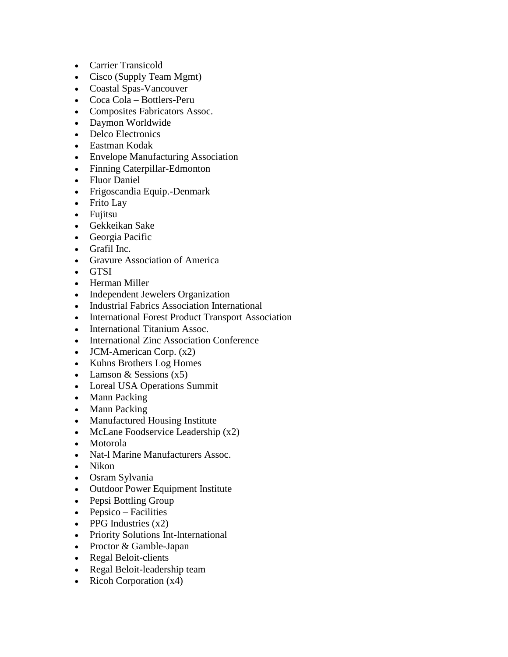- Carrier Transicold
- Cisco (Supply Team Mgmt)
- Coastal Spas-Vancouver
- Coca Cola Bottlers-Peru
- Composites Fabricators Assoc.
- Daymon Worldwide
- Delco Electronics
- Eastman Kodak
- Envelope Manufacturing Association
- Finning Caterpillar-Edmonton
- Fluor Daniel
- Frigoscandia Equip.-Denmark
- Frito Lay
- Fujitsu
- Gekkeikan Sake
- Georgia Pacific
- Grafil Inc.
- Gravure Association of America
- GTSI
- Herman Miller
- Independent Jewelers Organization
- Industrial Fabrics Association International
- International Forest Product Transport Association
- International Titanium Assoc.
- International Zinc Association Conference
- JCM-American Corp.  $(x2)$
- Kuhns Brothers Log Homes
- Lamson  $&$  Sessions  $(x5)$
- Loreal USA Operations Summit
- Mann Packing
- Mann Packing
- Manufactured Housing Institute
- $\bullet$  McLane Foodservice Leadership  $(x2)$
- Motorola
- Nat-l Marine Manufacturers Assoc.
- Nikon
- Osram Sylvania
- Outdoor Power Equipment Institute
- Pepsi Bottling Group
- Pepsico Facilities
- PPG Industries  $(x2)$
- Priority Solutions Int-International
- Proctor & Gamble-Japan
- Regal Beloit-clients
- Regal Beloit-leadership team
- Ricoh Corporation  $(x4)$